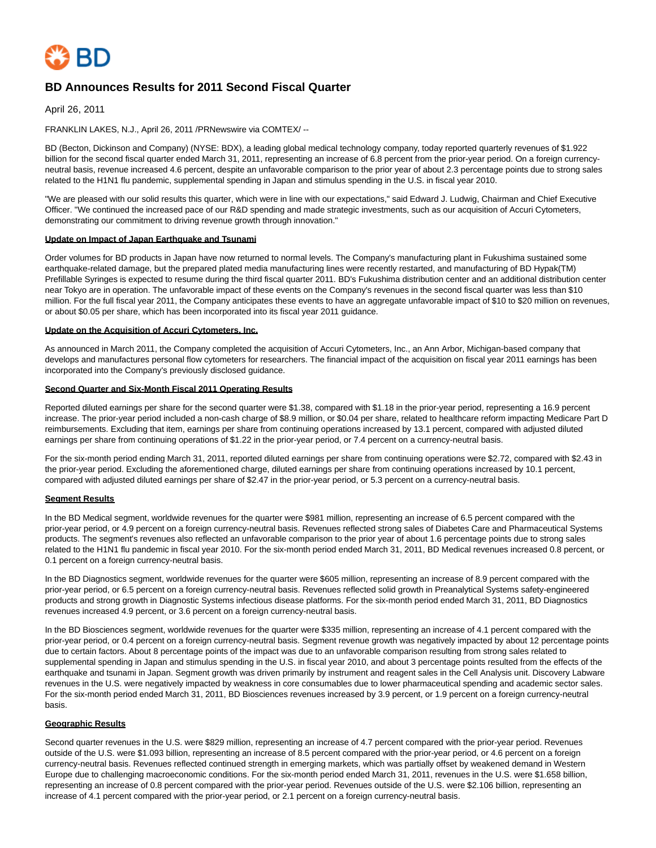

# **BD Announces Results for 2011 Second Fiscal Quarter**

April 26, 2011

FRANKLIN LAKES, N.J., April 26, 2011 /PRNewswire via COMTEX/ --

BD (Becton, Dickinson and Company) (NYSE: BDX), a leading global medical technology company, today reported quarterly revenues of \$1.922 billion for the second fiscal quarter ended March 31, 2011, representing an increase of 6.8 percent from the prior-year period. On a foreign currencyneutral basis, revenue increased 4.6 percent, despite an unfavorable comparison to the prior year of about 2.3 percentage points due to strong sales related to the H1N1 flu pandemic, supplemental spending in Japan and stimulus spending in the U.S. in fiscal year 2010.

"We are pleased with our solid results this quarter, which were in line with our expectations," said Edward J. Ludwig, Chairman and Chief Executive Officer. "We continued the increased pace of our R&D spending and made strategic investments, such as our acquisition of Accuri Cytometers, demonstrating our commitment to driving revenue growth through innovation."

#### **Update on Impact of Japan Earthquake and Tsunami**

Order volumes for BD products in Japan have now returned to normal levels. The Company's manufacturing plant in Fukushima sustained some earthquake-related damage, but the prepared plated media manufacturing lines were recently restarted, and manufacturing of BD Hypak(TM) Prefillable Syringes is expected to resume during the third fiscal quarter 2011. BD's Fukushima distribution center and an additional distribution center near Tokyo are in operation. The unfavorable impact of these events on the Company's revenues in the second fiscal quarter was less than \$10 million. For the full fiscal year 2011, the Company anticipates these events to have an aggregate unfavorable impact of \$10 to \$20 million on revenues, or about \$0.05 per share, which has been incorporated into its fiscal year 2011 guidance.

#### **Update on the Acquisition of Accuri Cytometers, Inc.**

As announced in March 2011, the Company completed the acquisition of Accuri Cytometers, Inc., an Ann Arbor, Michigan-based company that develops and manufactures personal flow cytometers for researchers. The financial impact of the acquisition on fiscal year 2011 earnings has been incorporated into the Company's previously disclosed guidance.

#### **Second Quarter and Six-Month Fiscal 2011 Operating Results**

Reported diluted earnings per share for the second quarter were \$1.38, compared with \$1.18 in the prior-year period, representing a 16.9 percent increase. The prior-year period included a non-cash charge of \$8.9 million, or \$0.04 per share, related to healthcare reform impacting Medicare Part D reimbursements. Excluding that item, earnings per share from continuing operations increased by 13.1 percent, compared with adjusted diluted earnings per share from continuing operations of \$1.22 in the prior-year period, or 7.4 percent on a currency-neutral basis.

For the six-month period ending March 31, 2011, reported diluted earnings per share from continuing operations were \$2.72, compared with \$2.43 in the prior-year period. Excluding the aforementioned charge, diluted earnings per share from continuing operations increased by 10.1 percent, compared with adjusted diluted earnings per share of \$2.47 in the prior-year period, or 5.3 percent on a currency-neutral basis.

### **Segment Results**

In the BD Medical segment, worldwide revenues for the quarter were \$981 million, representing an increase of 6.5 percent compared with the prior-year period, or 4.9 percent on a foreign currency-neutral basis. Revenues reflected strong sales of Diabetes Care and Pharmaceutical Systems products. The segment's revenues also reflected an unfavorable comparison to the prior year of about 1.6 percentage points due to strong sales related to the H1N1 flu pandemic in fiscal year 2010. For the six-month period ended March 31, 2011, BD Medical revenues increased 0.8 percent, or 0.1 percent on a foreign currency-neutral basis.

In the BD Diagnostics segment, worldwide revenues for the quarter were \$605 million, representing an increase of 8.9 percent compared with the prior-year period, or 6.5 percent on a foreign currency-neutral basis. Revenues reflected solid growth in Preanalytical Systems safety-engineered products and strong growth in Diagnostic Systems infectious disease platforms. For the six-month period ended March 31, 2011, BD Diagnostics revenues increased 4.9 percent, or 3.6 percent on a foreign currency-neutral basis.

In the BD Biosciences segment, worldwide revenues for the quarter were \$335 million, representing an increase of 4.1 percent compared with the prior-year period, or 0.4 percent on a foreign currency-neutral basis. Segment revenue growth was negatively impacted by about 12 percentage points due to certain factors. About 8 percentage points of the impact was due to an unfavorable comparison resulting from strong sales related to supplemental spending in Japan and stimulus spending in the U.S. in fiscal year 2010, and about 3 percentage points resulted from the effects of the earthquake and tsunami in Japan. Segment growth was driven primarily by instrument and reagent sales in the Cell Analysis unit. Discovery Labware revenues in the U.S. were negatively impacted by weakness in core consumables due to lower pharmaceutical spending and academic sector sales. For the six-month period ended March 31, 2011, BD Biosciences revenues increased by 3.9 percent, or 1.9 percent on a foreign currency-neutral basis.

#### **Geographic Results**

Second quarter revenues in the U.S. were \$829 million, representing an increase of 4.7 percent compared with the prior-year period. Revenues outside of the U.S. were \$1.093 billion, representing an increase of 8.5 percent compared with the prior-year period, or 4.6 percent on a foreign currency-neutral basis. Revenues reflected continued strength in emerging markets, which was partially offset by weakened demand in Western Europe due to challenging macroeconomic conditions. For the six-month period ended March 31, 2011, revenues in the U.S. were \$1.658 billion, representing an increase of 0.8 percent compared with the prior-year period. Revenues outside of the U.S. were \$2.106 billion, representing an increase of 4.1 percent compared with the prior-year period, or 2.1 percent on a foreign currency-neutral basis.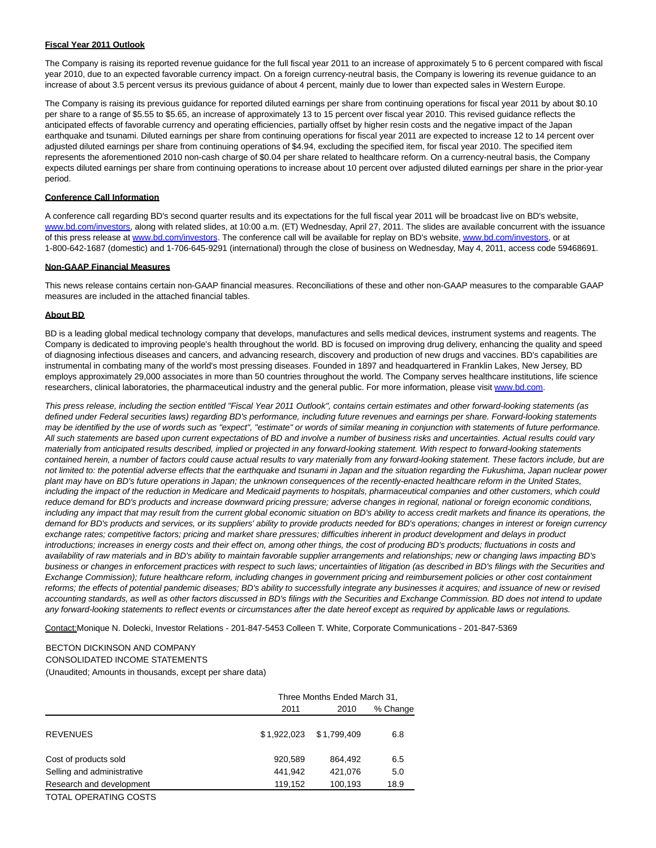### **Fiscal Year 2011 Outlook**

The Company is raising its reported revenue guidance for the full fiscal year 2011 to an increase of approximately 5 to 6 percent compared with fiscal year 2010, due to an expected favorable currency impact. On a foreign currency-neutral basis, the Company is lowering its revenue guidance to an increase of about 3.5 percent versus its previous guidance of about 4 percent, mainly due to lower than expected sales in Western Europe.

The Company is raising its previous guidance for reported diluted earnings per share from continuing operations for fiscal year 2011 by about \$0.10 per share to a range of \$5.55 to \$5.65, an increase of approximately 13 to 15 percent over fiscal year 2010. This revised guidance reflects the anticipated effects of favorable currency and operating efficiencies, partially offset by higher resin costs and the negative impact of the Japan earthquake and tsunami. Diluted earnings per share from continuing operations for fiscal year 2011 are expected to increase 12 to 14 percent over adjusted diluted earnings per share from continuing operations of \$4.94, excluding the specified item, for fiscal year 2010. The specified item represents the aforementioned 2010 non-cash charge of \$0.04 per share related to healthcare reform. On a currency-neutral basis, the Company expects diluted earnings per share from continuing operations to increase about 10 percent over adjusted diluted earnings per share in the prior-year period.

### **Conference Call Information**

A conference call regarding BD's second quarter results and its expectations for the full fiscal year 2011 will be broadcast live on BD's website, [www.bd.com/investors,](http://www.bd.com/investors) along with related slides, at 10:00 a.m. (ET) Wednesday, April 27, 2011. The slides are available concurrent with the issuance of this press release at [www.bd.com/investors.](http://www.bd.com/investors) The conference call will be available for replay on BD's website[, www.bd.com/investors,](http://www.bd.com/investors) or at 1-800-642-1687 (domestic) and 1-706-645-9291 (international) through the close of business on Wednesday, May 4, 2011, access code 59468691.

### **Non-GAAP Financial Measures**

This news release contains certain non-GAAP financial measures. Reconciliations of these and other non-GAAP measures to the comparable GAAP measures are included in the attached financial tables.

### **About BD**

BD is a leading global medical technology company that develops, manufactures and sells medical devices, instrument systems and reagents. The Company is dedicated to improving people's health throughout the world. BD is focused on improving drug delivery, enhancing the quality and speed of diagnosing infectious diseases and cancers, and advancing research, discovery and production of new drugs and vaccines. BD's capabilities are instrumental in combating many of the world's most pressing diseases. Founded in 1897 and headquartered in Franklin Lakes, New Jersey, BD employs approximately 29,000 associates in more than 50 countries throughout the world. The Company serves healthcare institutions, life science researchers, clinical laboratories, the pharmaceutical industry and the general public. For more information, please visit [www.bd.com.](http://www.bd.com/)

This press release, including the section entitled "Fiscal Year 2011 Outlook", contains certain estimates and other forward-looking statements (as defined under Federal securities laws) regarding BD's performance, including future revenues and earnings per share. Forward-looking statements may be identified by the use of words such as "expect", "estimate" or words of similar meaning in conjunction with statements of future performance. All such statements are based upon current expectations of BD and involve a number of business risks and uncertainties. Actual results could vary materially from anticipated results described, implied or projected in any forward-looking statement. With respect to forward-looking statements contained herein, a number of factors could cause actual results to vary materially from any forward-looking statement. These factors include, but are not limited to: the potential adverse effects that the earthquake and tsunami in Japan and the situation regarding the Fukushima, Japan nuclear power plant may have on BD's future operations in Japan; the unknown consequences of the recently-enacted healthcare reform in the United States, including the impact of the reduction in Medicare and Medicaid payments to hospitals, pharmaceutical companies and other customers, which could reduce demand for BD's products and increase downward pricing pressure; adverse changes in regional, national or foreign economic conditions, including any impact that may result from the current global economic situation on BD's ability to access credit markets and finance its operations, the demand for BD's products and services, or its suppliers' ability to provide products needed for BD's operations; changes in interest or foreign currency exchange rates; competitive factors; pricing and market share pressures; difficulties inherent in product development and delays in product introductions; increases in energy costs and their effect on, among other things, the cost of producing BD's products; fluctuations in costs and availability of raw materials and in BD's ability to maintain favorable supplier arrangements and relationships; new or changing laws impacting BD's business or changes in enforcement practices with respect to such laws; uncertainties of litigation (as described in BD's filings with the Securities and Exchange Commission); future healthcare reform, including changes in government pricing and reimbursement policies or other cost containment reforms; the effects of potential pandemic diseases; BD's ability to successfully integrate any businesses it acquires; and issuance of new or revised accounting standards, as well as other factors discussed in BD's filings with the Securities and Exchange Commission. BD does not intend to update any forward-looking statements to reflect events or circumstances after the date hereof except as required by applicable laws or regulations.

Contact:Monique N. Dolecki, Investor Relations - 201-847-5453 Colleen T. White, Corporate Communications - 201-847-5369

#### BECTON DICKINSON AND COMPANY

#### CONSOLIDATED INCOME STATEMENTS

(Unaudited; Amounts in thousands, except per share data)

|                            |             | Three Months Ended March 31, |          |  |  |  |
|----------------------------|-------------|------------------------------|----------|--|--|--|
|                            | 2011        | 2010                         | % Change |  |  |  |
| <b>REVENUES</b>            | \$1.922.023 | \$1,799,409                  | 6.8      |  |  |  |
| Cost of products sold      | 920,589     | 864,492                      | 6.5      |  |  |  |
| Selling and administrative | 441.942     | 421.076                      | 5.0      |  |  |  |
| Research and development   | 119,152     | 100,193                      | 18.9     |  |  |  |
|                            |             |                              |          |  |  |  |

TOTAL OPERATING COSTS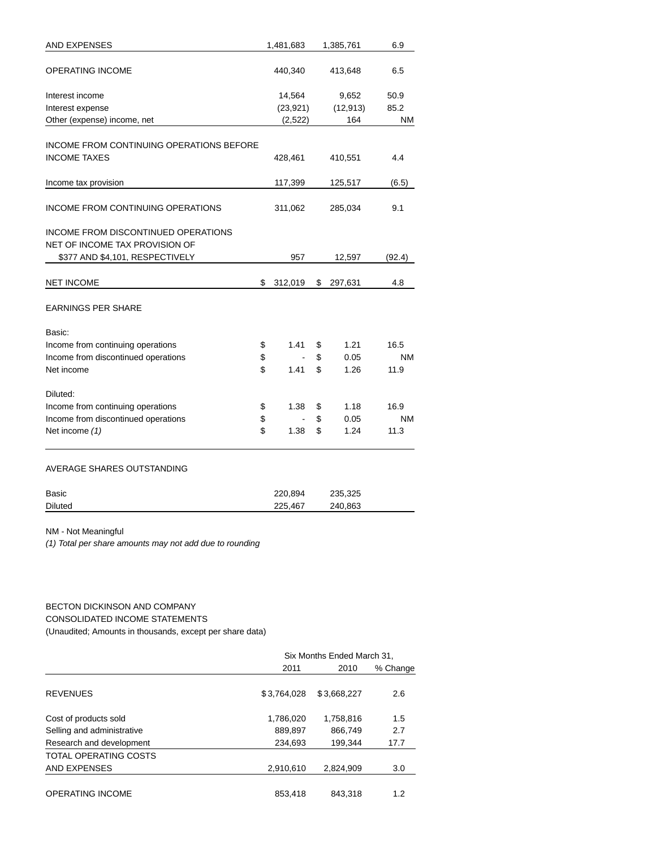| AND EXPENSES                                                          | 1,481,683     | 1,385,761     | 6.9       |
|-----------------------------------------------------------------------|---------------|---------------|-----------|
| OPERATING INCOME                                                      | 440,340       | 413,648       | 6.5       |
| Interest income                                                       | 14,564        | 9,652         | 50.9      |
| Interest expense                                                      | (23, 921)     | (12, 913)     | 85.2      |
| Other (expense) income, net                                           | (2, 522)      | 164           | ΝM        |
|                                                                       |               |               |           |
| INCOME FROM CONTINUING OPERATIONS BEFORE                              |               |               |           |
| <b>INCOME TAXES</b>                                                   | 428,461       | 410,551       | 4.4       |
| Income tax provision                                                  | 117,399       | 125,517       | (6.5)     |
| INCOME FROM CONTINUING OPERATIONS                                     | 311,062       | 285,034       | 9.1       |
| INCOME FROM DISCONTINUED OPERATIONS<br>NET OF INCOME TAX PROVISION OF |               |               |           |
| \$377 AND \$4,101, RESPECTIVELY                                       | 957           | 12,597        | (92.4)    |
| <b>NET INCOME</b>                                                     | \$<br>312,019 | \$<br>297,631 | 4.8       |
| <b>EARNINGS PER SHARE</b>                                             |               |               |           |
| Basic:                                                                |               |               |           |
| Income from continuing operations                                     | \$<br>1.41    | \$<br>1.21    | 16.5      |
| Income from discontinued operations                                   | \$            | \$<br>0.05    | ΝM        |
| Net income                                                            | \$<br>1.41    | \$<br>1.26    | 11.9      |
| Diluted:                                                              |               |               |           |
| Income from continuing operations                                     | \$<br>1.38    | \$<br>1.18    | 16.9      |
| Income from discontinued operations                                   | \$            | \$<br>0.05    | <b>NM</b> |
| Net income (1)                                                        | \$<br>1.38    | \$<br>1.24    | 11.3      |
| AVERAGE SHARES OUTSTANDING                                            |               |               |           |
| Basic                                                                 | 220,894       | 235,325       |           |
| Diluted                                                               | 225,467       | 240,863       |           |
| NM - Not Meaningful                                                   |               |               |           |

(1) Total per share amounts may not add due to rounding

### BECTON DICKINSON AND COMPANY

CONSOLIDATED INCOME STATEMENTS (Unaudited; Amounts in thousands, except per share data)

|                            |             | Six Months Ended March 31, |          |  |  |  |
|----------------------------|-------------|----------------------------|----------|--|--|--|
|                            | 2011        | 2010                       | % Change |  |  |  |
|                            |             |                            |          |  |  |  |
| <b>REVENUES</b>            | \$3.764.028 | \$3.668.227                | 2.6      |  |  |  |
| Cost of products sold      | 1,786,020   | 1,758,816                  | 1.5      |  |  |  |
| Selling and administrative | 889,897     | 866,749                    | 2.7      |  |  |  |
| Research and development   | 234.693     | 199.344                    | 17.7     |  |  |  |
| TOTAL OPERATING COSTS      |             |                            |          |  |  |  |
| AND EXPENSES               | 2,910,610   | 2,824,909                  | 3.0      |  |  |  |
|                            |             |                            |          |  |  |  |
| <b>OPERATING INCOME</b>    | 853.418     | 843.318                    | 1.2      |  |  |  |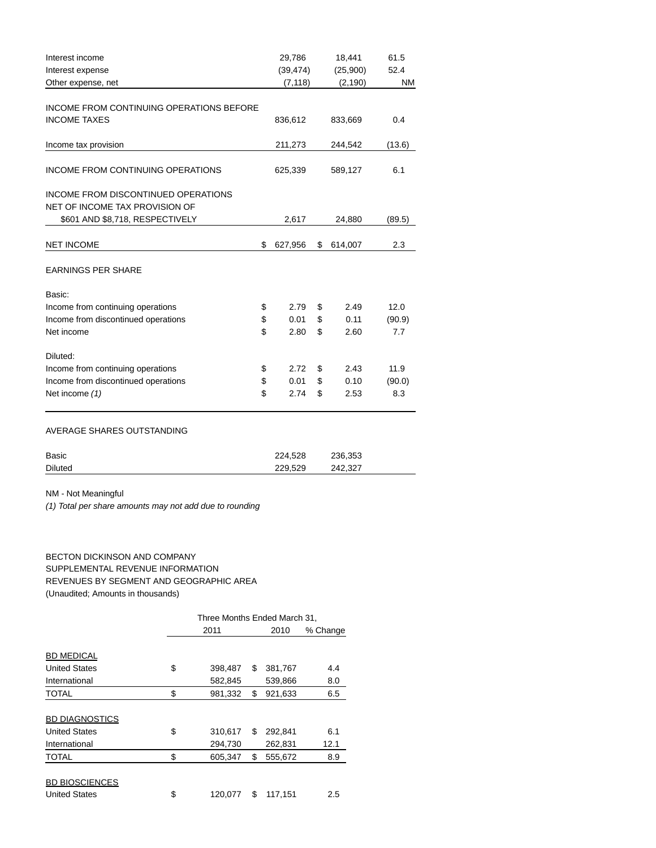| Interest income                          | 29,786        | 18,441        | 61.5      |
|------------------------------------------|---------------|---------------|-----------|
| Interest expense                         | (39, 474)     | (25,900)      | 52.4      |
| Other expense, net                       | (7, 118)      | (2, 190)      | <b>NM</b> |
|                                          |               |               |           |
| INCOME FROM CONTINUING OPERATIONS BEFORE |               |               |           |
| <b>INCOME TAXES</b>                      | 836,612       | 833,669       | 0.4       |
| Income tax provision                     | 211,273       | 244,542       | (13.6)    |
| <b>INCOME FROM CONTINUING OPERATIONS</b> | 625,339       | 589,127       | 6.1       |
| INCOME FROM DISCONTINUED OPERATIONS      |               |               |           |
| NET OF INCOME TAX PROVISION OF           |               |               |           |
| \$601 AND \$8,718, RESPECTIVELY          | 2,617         | 24,880        | (89.5)    |
| <b>NET INCOME</b>                        | \$<br>627,956 | \$<br>614,007 | 2.3       |
| <b>EARNINGS PER SHARE</b>                |               |               |           |
| Basic:                                   |               |               |           |
| Income from continuing operations        | \$<br>2.79    | \$<br>2.49    | 12.0      |
| Income from discontinued operations      | \$<br>0.01    | \$<br>0.11    | (90.9)    |
| Net income                               | \$<br>2.80    | \$<br>2.60    | 7.7       |
| Diluted:                                 |               |               |           |
| Income from continuing operations        | \$<br>2.72    | \$<br>2.43    | 11.9      |
| Income from discontinued operations      | \$<br>0.01    | \$<br>0.10    | (90.0)    |
| Net income (1)                           | \$<br>2.74    | \$<br>2.53    | 8.3       |
|                                          |               |               |           |

## AVERAGE SHARES OUTSTANDING

| Basic          | 224.528 | 236.353 |
|----------------|---------|---------|
| <b>Diluted</b> | 229,529 | 242.327 |

NM - Not Meaningful

(1) Total per share amounts may not add due to rounding

BECTON DICKINSON AND COMPANY SUPPLEMENTAL REVENUE INFORMATION REVENUES BY SEGMENT AND GEOGRAPHIC AREA (Unaudited; Amounts in thousands)

|                       | Three Months Ended March 31. |    |         |          |  |  |  |
|-----------------------|------------------------------|----|---------|----------|--|--|--|
|                       | 2011                         |    | 2010    | % Change |  |  |  |
|                       |                              |    |         |          |  |  |  |
| <b>BD MEDICAL</b>     |                              |    |         |          |  |  |  |
| <b>United States</b>  | \$<br>398,487                | \$ | 381,767 | 4.4      |  |  |  |
| International         | 582,845                      |    | 539,866 | 8.0      |  |  |  |
| <b>TOTAL</b>          | \$<br>981,332                | \$ | 921,633 | 6.5      |  |  |  |
|                       |                              |    |         |          |  |  |  |
| <b>BD DIAGNOSTICS</b> |                              |    |         |          |  |  |  |
| <b>United States</b>  | \$<br>310,617                | \$ | 292,841 | 6.1      |  |  |  |
| International         | 294.730                      |    | 262,831 | 12.1     |  |  |  |
| <b>TOTAL</b>          | \$<br>605,347                | \$ | 555,672 | 8.9      |  |  |  |
|                       |                              |    |         |          |  |  |  |
| <b>BD BIOSCIENCES</b> |                              |    |         |          |  |  |  |
| <b>United States</b>  | \$<br>120.077                | \$ | 117,151 | 2.5      |  |  |  |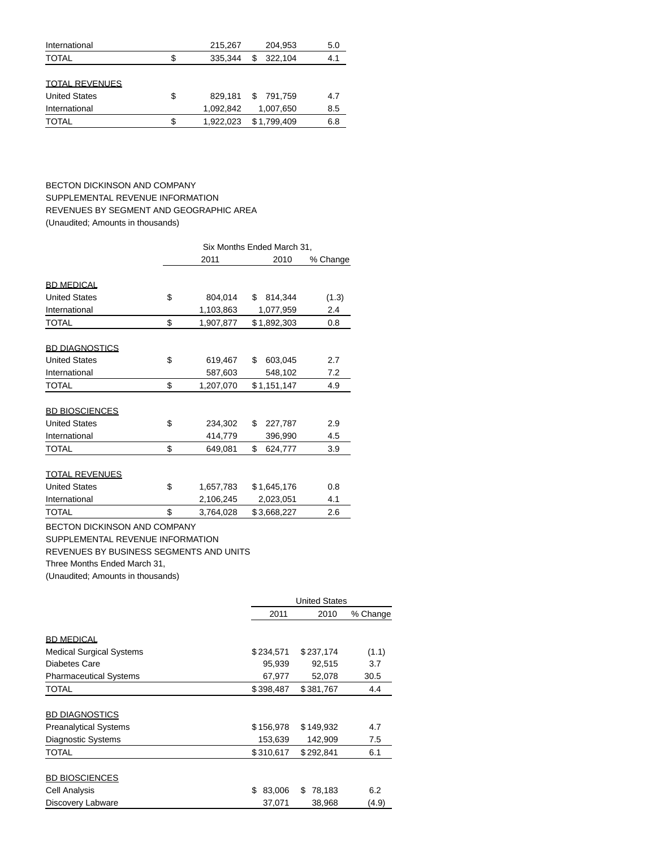|    | 215,267   | 204,953      | 5.0 |
|----|-----------|--------------|-----|
| S  | 335.344   | 322.104<br>S | 4.1 |
|    |           |              |     |
|    |           |              |     |
| \$ | 829.181   | 791.759<br>S | 4.7 |
|    | 1,092,842 | 1,007,650    | 8.5 |
| S  | 1.922.023 | \$1.799.409  | 6.8 |
|    |           |              |     |

BECTON DICKINSON AND COMPANY SUPPLEMENTAL REVENUE INFORMATION REVENUES BY SEGMENT AND GEOGRAPHIC AREA (Unaudited; Amounts in thousands)

|                                     | Six Months Ended March 31, |           |               |          |  |  |  |
|-------------------------------------|----------------------------|-----------|---------------|----------|--|--|--|
|                                     |                            | 2011      | 2010          | % Change |  |  |  |
| <b>BD MEDICAL</b>                   |                            |           |               |          |  |  |  |
| <b>United States</b>                | \$                         | 804,014   | 814,344<br>S  | (1.3)    |  |  |  |
| International                       |                            | 1,103,863 | 1,077,959     | 2.4      |  |  |  |
| <b>TOTAL</b>                        | \$                         | 1,907,877 | \$1,892,303   | 0.8      |  |  |  |
| <b>BD DIAGNOSTICS</b>               |                            |           |               |          |  |  |  |
| <b>United States</b>                | \$                         | 619,467   | \$<br>603,045 | 2.7      |  |  |  |
| International                       |                            | 587,603   | 548,102       | 7.2      |  |  |  |
| <b>TOTAL</b>                        | \$                         | 1,207,070 | \$1,151,147   | 4.9      |  |  |  |
| <b>BD BIOSCIENCES</b>               |                            |           |               |          |  |  |  |
| <b>United States</b>                | \$                         | 234,302   | \$<br>227,787 | 2.9      |  |  |  |
| International                       |                            | 414,779   | 396,990       | 4.5      |  |  |  |
| <b>TOTAL</b>                        | \$                         | 649,081   | \$<br>624,777 | 3.9      |  |  |  |
| <b>TOTAL REVENUES</b>               |                            |           |               |          |  |  |  |
| <b>United States</b>                | \$                         | 1,657,783 | \$1,645,176   | 0.8      |  |  |  |
| International                       |                            | 2,106,245 | 2,023,051     | 4.1      |  |  |  |
| <b>TOTAL</b>                        | \$                         | 3,764,028 | \$3,668,227   | 2.6      |  |  |  |
| <b>BECTON DICKINSON AND COMPANY</b> |                            |           |               |          |  |  |  |
| SUPPLEMENTAL REVENUE INFORMATION    |                            |           |               |          |  |  |  |

REVENUES BY BUSINESS SEGMENTS AND UNITS

Three Months Ended March 31,

(Unaudited; Amounts in thousands)

|                                 |              | <b>United States</b> |          |  |  |
|---------------------------------|--------------|----------------------|----------|--|--|
|                                 | 2011         | 2010                 | % Change |  |  |
|                                 |              |                      |          |  |  |
| <b>BD MEDICAL</b>               |              |                      |          |  |  |
| <b>Medical Surgical Systems</b> | \$234,571    | \$237,174            | (1.1)    |  |  |
| Diabetes Care                   | 95,939       | 92,515               | 3.7      |  |  |
| <b>Pharmaceutical Systems</b>   | 67,977       | 52,078               | 30.5     |  |  |
| <b>TOTAL</b>                    | \$398,487    | \$381,767            | 4.4      |  |  |
|                                 |              |                      |          |  |  |
| <b>BD DIAGNOSTICS</b>           |              |                      |          |  |  |
| <b>Preanalytical Systems</b>    | \$156,978    | \$149,932            | 4.7      |  |  |
| <b>Diagnostic Systems</b>       | 153,639      | 142,909              | 7.5      |  |  |
| <b>TOTAL</b>                    | \$310,617    | \$292,841            | 6.1      |  |  |
|                                 |              |                      |          |  |  |
| <b>BD BIOSCIENCES</b>           |              |                      |          |  |  |
| Cell Analysis                   | \$<br>83,006 | 78,183<br>S          | 6.2      |  |  |
| Discovery Labware               | 37,071       | 38,968               | (4.9)    |  |  |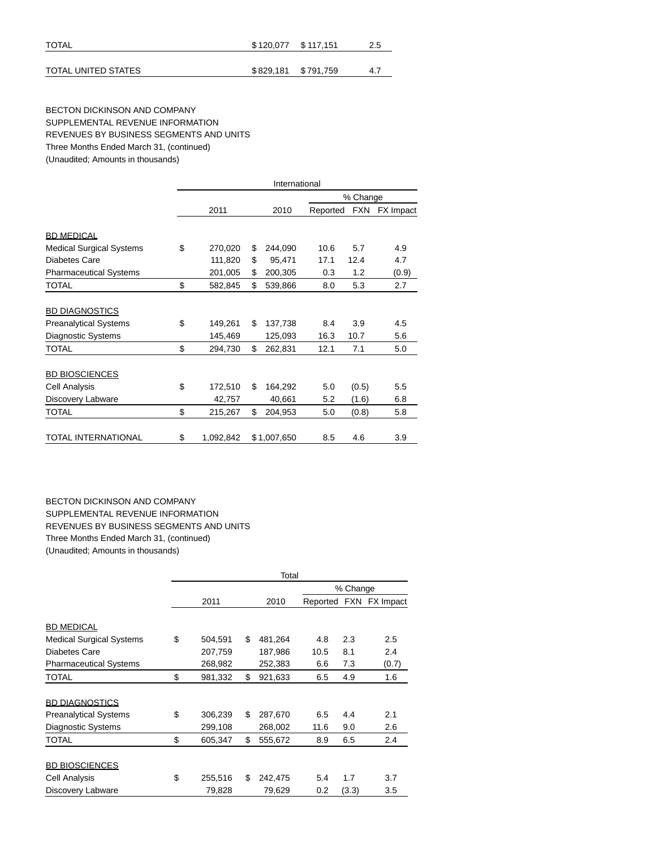| <b>TOTAL</b>        | \$120,077 \$117,151 |                     | 2.5 |
|---------------------|---------------------|---------------------|-----|
|                     |                     |                     |     |
| TOTAL UNITED STATES |                     | \$829,181 \$791,759 | 4.7 |

### BECTON DICKINSON AND COMPANY SUPPLEMENTAL REVENUE INFORMATION REVENUES BY BUSINESS SEGMENTS AND UNITS Three Months Ended March 31, (continued) (Unaudited; Amounts in thousands)

|                                 | International   |    |             |          |            |           |  |  |
|---------------------------------|-----------------|----|-------------|----------|------------|-----------|--|--|
|                                 |                 |    | % Change    |          |            |           |  |  |
|                                 | 2011            |    | 2010        | Reported | <b>FXN</b> | FX Impact |  |  |
|                                 |                 |    |             |          |            |           |  |  |
| <b>BD MEDICAL</b>               |                 |    |             |          |            |           |  |  |
| <b>Medical Surgical Systems</b> | \$<br>270,020   | \$ | 244,090     | 10.6     | 5.7        | 4.9       |  |  |
| Diabetes Care                   | 111,820         | \$ | 95,471      | 17.1     | 12.4       | 4.7       |  |  |
| <b>Pharmaceutical Systems</b>   | 201,005         | \$ | 200,305     | 0.3      | 1.2        | (0.9)     |  |  |
| TOTAL                           | \$<br>582,845   | \$ | 539,866     | 8.0      | 5.3        | 2.7       |  |  |
| <b>BD DIAGNOSTICS</b>           |                 |    |             |          |            |           |  |  |
| <b>Preanalytical Systems</b>    | \$<br>149,261   | \$ | 137,738     | 8.4      | 3.9        | 4.5       |  |  |
| <b>Diagnostic Systems</b>       | 145,469         |    | 125,093     | 16.3     | 10.7       | 5.6       |  |  |
| TOTAL                           | \$<br>294,730   | \$ | 262,831     | 12.1     | 7.1        | 5.0       |  |  |
| <b>BD BIOSCIENCES</b>           |                 |    |             |          |            |           |  |  |
| Cell Analysis                   | \$<br>172,510   | \$ | 164,292     | 5.0      | (0.5)      | 5.5       |  |  |
| Discovery Labware               | 42,757          |    | 40,661      | 5.2      | (1.6)      | 6.8       |  |  |
| TOTAL                           | \$<br>215,267   | \$ | 204,953     | 5.0      | (0.8)      | 5.8       |  |  |
| TOTAL INTERNATIONAL             | \$<br>1,092,842 |    | \$1,007,650 | 8.5      | 4.6        | 3.9       |  |  |

# BECTON DICKINSON AND COMPANY SUPPLEMENTAL REVENUE INFORMATION REVENUES BY BUSINESS SEGMENTS AND UNITS Three Months Ended March 31, (continued) (Unaudited; Amounts in thousands)

|                                 | Total         |    |         |      |          |                        |  |  |
|---------------------------------|---------------|----|---------|------|----------|------------------------|--|--|
|                                 |               |    |         |      | % Change |                        |  |  |
|                                 | 2011          |    | 2010    |      |          | Reported FXN FX Impact |  |  |
| <b>BD MEDICAL</b>               |               |    |         |      |          |                        |  |  |
| <b>Medical Surgical Systems</b> | \$<br>504,591 | \$ | 481,264 | 4.8  | 2.3      | 2.5                    |  |  |
| Diabetes Care                   | 207,759       |    | 187,986 | 10.5 | 8.1      | 2.4                    |  |  |
| <b>Pharmaceutical Systems</b>   | 268,982       |    | 252,383 | 6.6  | 7.3      | (0.7)                  |  |  |
| TOTAL                           | \$<br>981,332 | \$ | 921,633 | 6.5  | 4.9      | 1.6                    |  |  |
| <b>BD DIAGNOSTICS</b>           |               |    |         |      |          |                        |  |  |
| <b>Preanalytical Systems</b>    | \$<br>306,239 | \$ | 287,670 | 6.5  | 4.4      | 2.1                    |  |  |
| <b>Diagnostic Systems</b>       | 299,108       |    | 268,002 | 11.6 | 9.0      | 2.6                    |  |  |
| TOTAL                           | \$<br>605,347 | \$ | 555,672 | 8.9  | 6.5      | 2.4                    |  |  |
| <b>BD BIOSCIENCES</b>           |               |    |         |      |          |                        |  |  |
| Cell Analysis                   | \$<br>255,516 | \$ | 242,475 | 5.4  | 1.7      | 3.7                    |  |  |
| Discovery Labware               | 79,828        |    | 79,629  | 0.2  | (3.3)    | 3.5                    |  |  |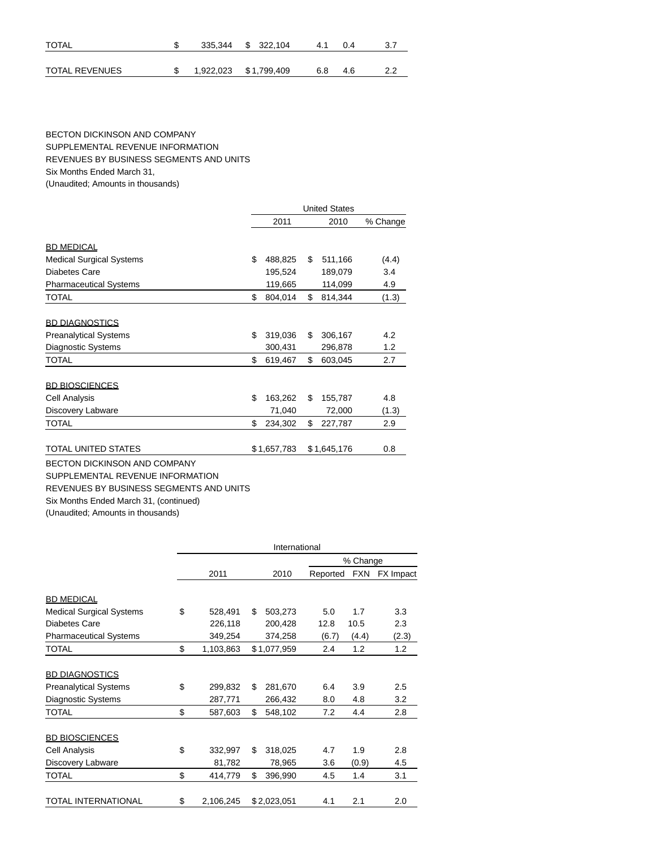| <b>TOTAL</b>   | 335,344 \$ 322,104    |  | 41  | 04  |  |
|----------------|-----------------------|--|-----|-----|--|
| TOTAL REVENUES | 1,922,023 \$1,799,409 |  | 6.8 | 4.6 |  |

### BECTON DICKINSON AND COMPANY SUPPLEMENTAL REVENUE INFORMATION REVENUES BY BUSINESS SEGMENTS AND UNITS Six Months Ended March 31,

(Unaudited; Amounts in thousands)

|                                 | <b>United States</b> |    |             |          |  |  |
|---------------------------------|----------------------|----|-------------|----------|--|--|
|                                 | 2011                 |    | 2010        | % Change |  |  |
|                                 |                      |    |             |          |  |  |
| <b>BD MEDICAL</b>               |                      |    |             |          |  |  |
| <b>Medical Surgical Systems</b> | \$<br>488,825        | \$ | 511,166     | (4.4)    |  |  |
| Diabetes Care                   | 195,524              |    | 189,079     | 3.4      |  |  |
| <b>Pharmaceutical Systems</b>   | 119,665              |    | 114,099     | 4.9      |  |  |
| <b>TOTAL</b>                    | \$<br>804,014        | \$ | 814,344     | (1.3)    |  |  |
|                                 |                      |    |             |          |  |  |
| <b>BD DIAGNOSTICS</b>           |                      |    |             |          |  |  |
| <b>Preanalytical Systems</b>    | \$<br>319,036        | \$ | 306,167     | 4.2      |  |  |
| Diagnostic Systems              | 300,431              |    | 296,878     | 1.2      |  |  |
| <b>TOTAL</b>                    | \$<br>619,467        | \$ | 603,045     | 2.7      |  |  |
| <b>BD BIOSCIENCES</b>           |                      |    |             |          |  |  |
| Cell Analysis                   | \$<br>163,262        | \$ | 155,787     | 4.8      |  |  |
| Discovery Labware               | 71,040               |    | 72,000      | (1.3)    |  |  |
| TOTAL                           | \$<br>234,302        | \$ | 227,787     | 2.9      |  |  |
| TOTAL UNITED STATES             | \$1,657,783          |    | \$1,645,176 | 0.8      |  |  |

BECTON DICKINSON AND COMPANY

SUPPLEMENTAL REVENUE INFORMATION

REVENUES BY BUSINESS SEGMENTS AND UNITS

Six Months Ended March 31, (continued)

(Unaudited; Amounts in thousands)

|                                 |                 |    | International |          |            |           |  |  |
|---------------------------------|-----------------|----|---------------|----------|------------|-----------|--|--|
|                                 |                 |    |               |          | % Change   |           |  |  |
|                                 | 2011            |    | 2010          | Reported | <b>FXN</b> | FX Impact |  |  |
|                                 |                 |    |               |          |            |           |  |  |
| <b>BD MEDICAL</b>               |                 |    |               |          |            |           |  |  |
| <b>Medical Surgical Systems</b> | \$<br>528,491   | \$ | 503,273       | 5.0      | 1.7        | 3.3       |  |  |
| Diabetes Care                   | 226,118         |    | 200,428       | 12.8     | 10.5       | 2.3       |  |  |
| <b>Pharmaceutical Systems</b>   | 349,254         |    | 374,258       | (6.7)    | (4.4)      | (2.3)     |  |  |
| TOTAL                           | \$<br>1,103,863 |    | \$1,077,959   | 2.4      | 1.2        | 1.2       |  |  |
| <b>BD DIAGNOSTICS</b>           |                 |    |               |          |            |           |  |  |
| <b>Preanalytical Systems</b>    | \$<br>299,832   | \$ | 281,670       | 6.4      | 3.9        | 2.5       |  |  |
| <b>Diagnostic Systems</b>       | 287,771         |    | 266,432       | 8.0      | 4.8        | 3.2       |  |  |
| <b>TOTAL</b>                    | \$<br>587,603   | \$ | 548,102       | 7.2      | 4.4        | 2.8       |  |  |
| <b>BD BIOSCIENCES</b>           |                 |    |               |          |            |           |  |  |
| Cell Analysis                   | \$<br>332,997   | \$ | 318,025       | 4.7      | 1.9        | 2.8       |  |  |
| Discovery Labware               | 81,782          |    | 78,965        | 3.6      | (0.9)      | 4.5       |  |  |
| TOTAL                           | \$<br>414,779   | \$ | 396,990       | 4.5      | 1.4        | 3.1       |  |  |
|                                 |                 |    |               |          |            |           |  |  |
| TOTAL INTERNATIONAL             | \$<br>2,106,245 |    | \$2,023,051   | 4.1      | 2.1        | 2.0       |  |  |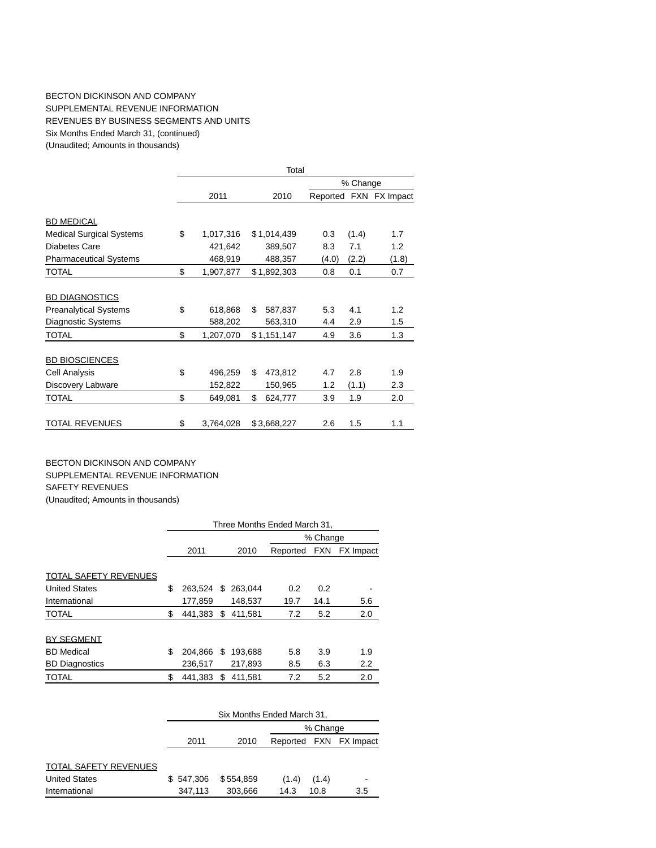### BECTON DICKINSON AND COMPANY SUPPLEMENTAL REVENUE INFORMATION REVENUES BY BUSINESS SEGMENTS AND UNITS Six Months Ended March 31, (continued) (Unaudited; Amounts in thousands)

|                                 |                 | Total         |       |          |                        |  |  |
|---------------------------------|-----------------|---------------|-------|----------|------------------------|--|--|
|                                 |                 |               |       | % Change |                        |  |  |
|                                 | 2011            | 2010          |       |          | Reported FXN FX Impact |  |  |
| <b>BD MEDICAL</b>               |                 |               |       |          |                        |  |  |
| <b>Medical Surgical Systems</b> | \$<br>1,017,316 | \$1,014,439   | 0.3   | (1.4)    | 1.7                    |  |  |
| Diabetes Care                   | 421,642         | 389,507       | 8.3   | 7.1      | 1.2                    |  |  |
| <b>Pharmaceutical Systems</b>   | 468,919         | 488,357       | (4.0) | (2.2)    | (1.8)                  |  |  |
| TOTAL                           | \$<br>1,907,877 | \$1,892,303   | 0.8   | 0.1      | 0.7                    |  |  |
|                                 |                 |               |       |          |                        |  |  |
| <b>BD DIAGNOSTICS</b>           |                 |               |       |          |                        |  |  |
| <b>Preanalytical Systems</b>    | \$<br>618,868   | \$<br>587,837 | 5.3   | 4.1      | 1.2                    |  |  |
| Diagnostic Systems              | 588,202         | 563,310       | 4.4   | 2.9      | 1.5                    |  |  |
| <b>TOTAL</b>                    | \$<br>1,207,070 | \$1,151,147   | 4.9   | 3.6      | 1.3                    |  |  |
|                                 |                 |               |       |          |                        |  |  |
| <b>BD BIOSCIENCES</b>           |                 |               |       |          |                        |  |  |
| Cell Analysis                   | \$<br>496,259   | \$<br>473,812 | 4.7   | 2.8      | 1.9                    |  |  |
| Discovery Labware               | 152,822         | 150,965       | 1.2   | (1.1)    | 2.3                    |  |  |
| <b>TOTAL</b>                    | \$<br>649,081   | \$<br>624,777 | 3.9   | 1.9      | 2.0                    |  |  |
|                                 |                 |               |       |          |                        |  |  |
| <b>TOTAL REVENUES</b>           | \$<br>3,764,028 | \$3,668,227   | 2.6   | 1.5      | 1.1                    |  |  |

BECTON DICKINSON AND COMPANY SUPPLEMENTAL REVENUE INFORMATION SAFETY REVENUES (Unaudited; Amounts in thousands)

|                              | Three Months Ended March 31, |     |         |          |          |           |  |  |  |
|------------------------------|------------------------------|-----|---------|----------|----------|-----------|--|--|--|
|                              |                              |     |         |          | % Change |           |  |  |  |
|                              | 2011<br>2010                 |     |         | Reported | FXN      | FX Impact |  |  |  |
|                              |                              |     |         |          |          |           |  |  |  |
| <b>TOTAL SAFETY REVENUES</b> |                              |     |         |          |          |           |  |  |  |
| <b>United States</b>         | \$<br>263.524                | S.  | 263.044 | 0.2      | 0.2      |           |  |  |  |
| International                | 177.859                      |     | 148.537 | 19.7     | 14.1     | 5.6       |  |  |  |
| <b>TOTAL</b>                 | \$<br>441,383                | \$. | 411.581 | 7.2      | 5.2      | 2.0       |  |  |  |
|                              |                              |     |         |          |          |           |  |  |  |
| <b>BY SEGMENT</b>            |                              |     |         |          |          |           |  |  |  |
| <b>BD</b> Medical            | \$<br>204.866                | S   | 193.688 | 5.8      | 3.9      | 1.9       |  |  |  |
| <b>BD</b> Diagnostics        | 236,517                      |     | 217,893 | 8.5      | 6.3      | 2.2       |  |  |  |
| <b>TOTAL</b>                 | \$<br>441.383                | S   | 411.581 | 7.2      | 5.2      | 2.0       |  |  |  |

|                              |           | Six Months Ended March 31, |       |          |                        |  |  |  |  |  |
|------------------------------|-----------|----------------------------|-------|----------|------------------------|--|--|--|--|--|
|                              |           |                            |       | % Change |                        |  |  |  |  |  |
|                              | 2011      | 2010                       |       |          | Reported FXN FX Impact |  |  |  |  |  |
|                              |           |                            |       |          |                        |  |  |  |  |  |
| <b>TOTAL SAFETY REVENUES</b> |           |                            |       |          |                        |  |  |  |  |  |
| <b>United States</b>         | \$547.306 | \$554.859                  | (1.4) | (1.4)    |                        |  |  |  |  |  |
| International                | 347.113   | 303.666                    | 14.3  | 10.8     | 3.5                    |  |  |  |  |  |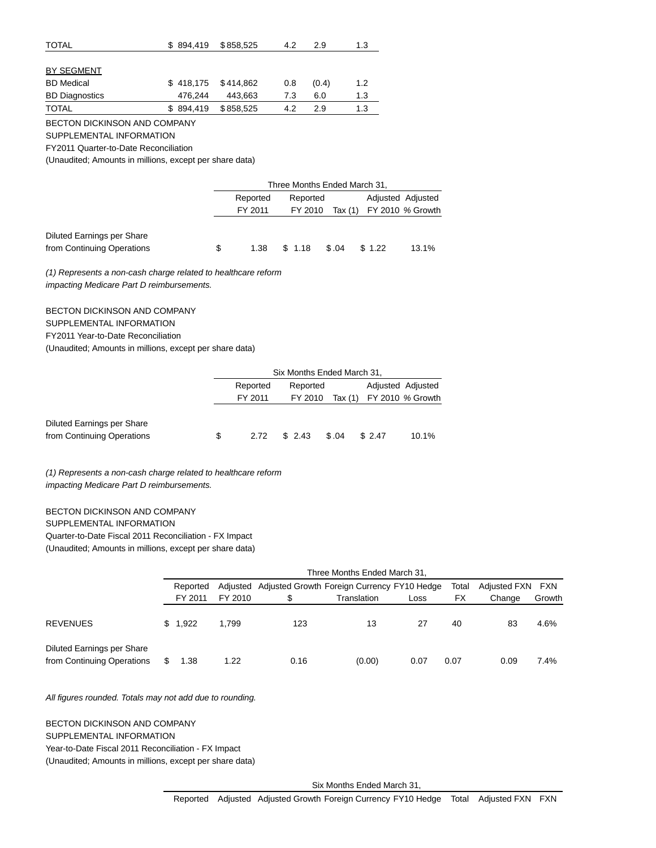| <b>TOTAL</b>                 | \$894.419 | \$858,525 | 4.2 | 2.9   | 1.3 |
|------------------------------|-----------|-----------|-----|-------|-----|
|                              |           |           |     |       |     |
| BY SEGMENT                   |           |           |     |       |     |
| <b>BD</b> Medical            | \$418.175 | \$414.862 | 0.8 | (0.4) | 1.2 |
| <b>BD Diagnostics</b>        | 476.244   | 443,663   | 7.3 | 6.0   | 1.3 |
| <b>TOTAL</b>                 | \$894.419 | \$858,525 | 4.2 | 2.9   | 1.3 |
| BECTON DICKINSON AND COMPANY |           |           |     |       |     |

SUPPLEMENTAL INFORMATION

FY2011 Quarter-to-Date Reconciliation

(Unaudited; Amounts in millions, except per share data)

|                            |   | Three Months Ended March 31, |          |       |                          |                   |  |  |  |
|----------------------------|---|------------------------------|----------|-------|--------------------------|-------------------|--|--|--|
|                            |   | Reported                     | Reported |       |                          | Adjusted Adjusted |  |  |  |
|                            |   | FY 2011                      | FY 2010  |       | Tax (1) FY 2010 % Growth |                   |  |  |  |
|                            |   |                              |          |       |                          |                   |  |  |  |
| Diluted Earnings per Share |   |                              |          |       |                          |                   |  |  |  |
| from Continuing Operations | S | 1.38                         | \$1.18   | \$.04 | \$1.22                   | 13.1%             |  |  |  |

(1) Represents a non-cash charge related to healthcare reform impacting Medicare Part D reimbursements.

BECTON DICKINSON AND COMPANY SUPPLEMENTAL INFORMATION FY2011 Year-to-Date Reconciliation

(Unaudited; Amounts in millions, except per share data)

|                            |   | Six Months Ended March 31, |          |       |                          |                   |  |  |  |
|----------------------------|---|----------------------------|----------|-------|--------------------------|-------------------|--|--|--|
|                            |   | Reported                   | Reported |       |                          | Adjusted Adjusted |  |  |  |
|                            |   | FY 2011                    | FY 2010  |       | Tax (1) FY 2010 % Growth |                   |  |  |  |
|                            |   |                            |          |       |                          |                   |  |  |  |
| Diluted Earnings per Share |   |                            |          |       |                          |                   |  |  |  |
| from Continuing Operations | S | 2.72                       | \$2.43   | \$.04 | \$2.47                   | 10.1%             |  |  |  |

(1) Represents a non-cash charge related to healthcare reform impacting Medicare Part D reimbursements.

BECTON DICKINSON AND COMPANY SUPPLEMENTAL INFORMATION Quarter-to-Date Fiscal 2011 Reconciliation - FX Impact

(Unaudited; Amounts in millions, except per share data)

|                                                                 | Three Months Ended March 31, |         |                                                      |             |      |       |                  |        |  |  |
|-----------------------------------------------------------------|------------------------------|---------|------------------------------------------------------|-------------|------|-------|------------------|--------|--|--|
|                                                                 | Reported                     |         | Adjusted Adjusted Growth Foreign Currency FY10 Hedge |             |      | Total | Adjusted FXN FXN |        |  |  |
|                                                                 | FY 2011                      | FY 2010 | S                                                    | Translation | Loss | FX    | Change           | Growth |  |  |
| <b>REVENUES</b>                                                 | \$1.922                      | 1.799   | 123                                                  | 13          | 27   | 40    | 83               | 4.6%   |  |  |
| <b>Diluted Earnings per Share</b><br>from Continuing Operations | 1.38                         | 1.22    | 0.16                                                 | (0.00)      | 0.07 | 0.07  | 0.09             | 7.4%   |  |  |

### All figures rounded. Totals may not add due to rounding.

BECTON DICKINSON AND COMPANY SUPPLEMENTAL INFORMATION Year-to-Date Fiscal 2011 Reconciliation - FX Impact (Unaudited; Amounts in millions, except per share data)

Six Months Ended March 31,